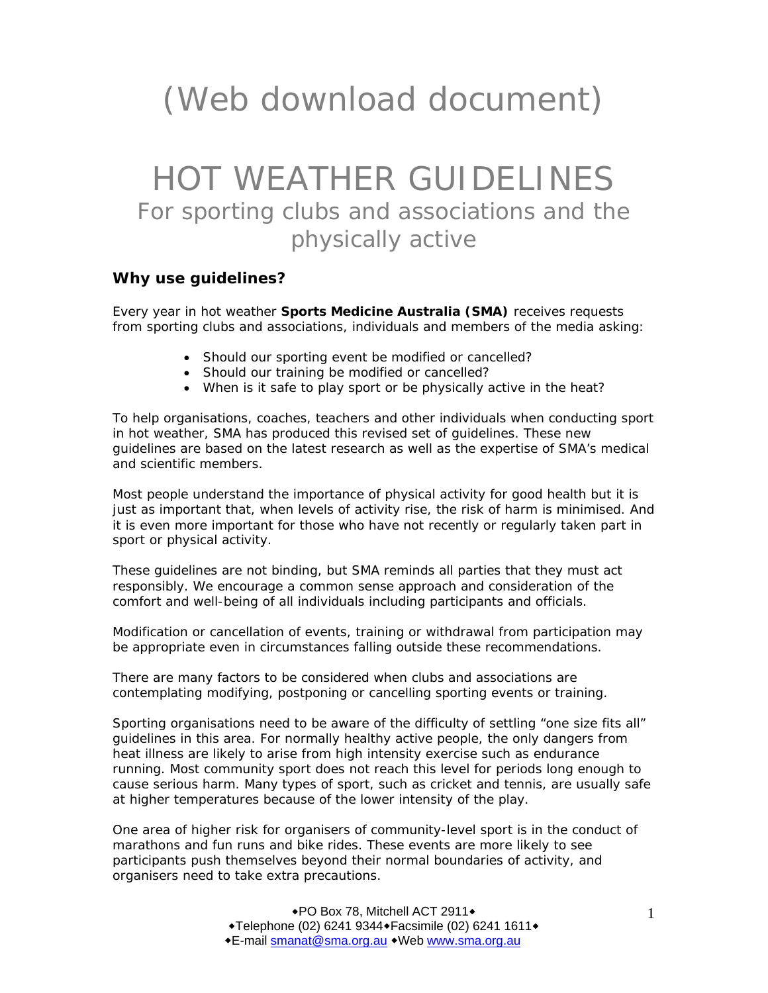# (Web download document)

# HOT WEATHER GUIDELINES For sporting clubs and associations and the physically active

#### **Why use guidelines?**

Every year in hot weather **Sports Medicine Australia (SMA)** receives requests from sporting clubs and associations, individuals and members of the media asking:

- Should our sporting event be modified or cancelled?
- Should our training be modified or cancelled?
- When is it safe to play sport or be physically active in the heat?

To help organisations, coaches, teachers and other individuals when conducting sport in hot weather, SMA has produced this revised set of guidelines. These new guidelines are based on the latest research as well as the expertise of SMA's medical and scientific members.

Most people understand the importance of physical activity for good health but it is just as important that, when levels of activity rise, the risk of harm is minimised. And it is even more important for those who have not recently or regularly taken part in sport or physical activity.

These guidelines are not binding, but SMA reminds all parties that they must act responsibly. We encourage a common sense approach and consideration of the comfort and well-being of all individuals including participants and officials.

Modification or cancellation of events, training or withdrawal from participation may be appropriate even in circumstances falling outside these recommendations.

There are many factors to be considered when clubs and associations are contemplating modifying, postponing or cancelling sporting events or training.

Sporting organisations need to be aware of the difficulty of settling "one size fits all" guidelines in this area. For normally healthy active people, the only dangers from heat illness are likely to arise from high intensity exercise such as endurance running. Most community sport does not reach this level for periods long enough to cause serious harm. Many types of sport, such as cricket and tennis, are usually safe at higher temperatures because of the lower intensity of the play.

One area of higher risk for organisers of community-level sport is in the conduct of marathons and fun runs and bike rides. These events are more likely to see participants push themselves beyond their normal boundaries of activity, and organisers need to take extra precautions.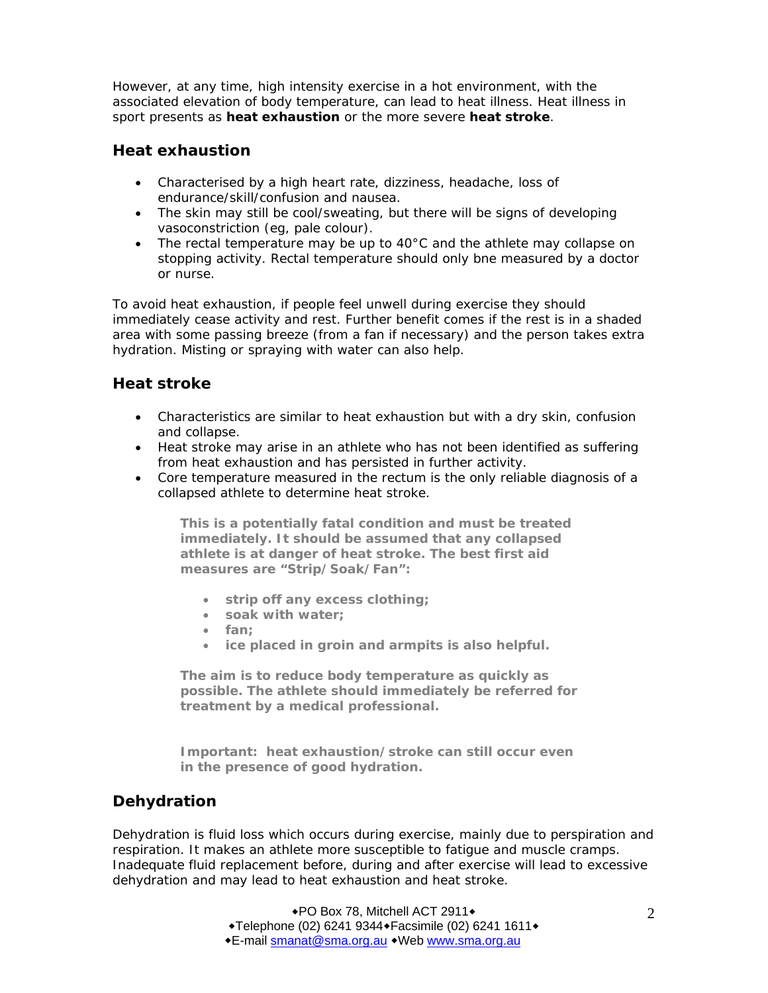However, at any time, high intensity exercise in a hot environment, with the associated elevation of body temperature, can lead to heat illness. Heat illness in sport presents as **heat exhaustion** or the more severe **heat stroke**.

#### **Heat exhaustion**

- Characterised by a high heart rate, dizziness, headache, loss of endurance/skill/confusion and nausea.
- The skin may still be cool/sweating, but there will be signs of developing vasoconstriction (eg, pale colour).
- The rectal temperature may be up to  $40^{\circ}$ C and the athlete may collapse on stopping activity. Rectal temperature should only bne measured by a doctor or nurse.

To avoid heat exhaustion, if people feel unwell during exercise they should immediately cease activity and rest. Further benefit comes if the rest is in a shaded area with some passing breeze (from a fan if necessary) and the person takes extra hydration. Misting or spraying with water can also help.

#### **Heat stroke**

- Characteristics are similar to heat exhaustion but with a dry skin, confusion and collapse.
- Heat stroke may arise in an athlete who has not been identified as suffering from heat exhaustion and has persisted in further activity.
- Core temperature measured in the rectum is the only reliable diagnosis of a collapsed athlete to determine heat stroke.

**This is a potentially fatal condition and must be treated immediately. It should be assumed that any collapsed athlete is at danger of heat stroke. The best first aid measures are "Strip/Soak/Fan":** 

- **strip off any excess clothing;**
- **soak with water;**
- **fan;**
- **ice placed in groin and armpits is also helpful.**

**The aim is to reduce body temperature as quickly as possible. The athlete should immediately be referred for treatment by a medical professional.** 

**Important: heat exhaustion/stroke can still occur even in the presence of good hydration.** 

#### **Dehydration**

Dehydration is fluid loss which occurs during exercise, mainly due to perspiration and respiration. It makes an athlete more susceptible to fatigue and muscle cramps. Inadequate fluid replacement before, during and after exercise will lead to excessive dehydration and may lead to heat exhaustion and heat stroke.

> ◆PO Box 78, Mitchell ACT 2911◆ ◆Telephone (02) 6241 9344◆ Facsimile (02) 6241 1611◆ E-mail smanat@sma.org.au Web www.sma.org.au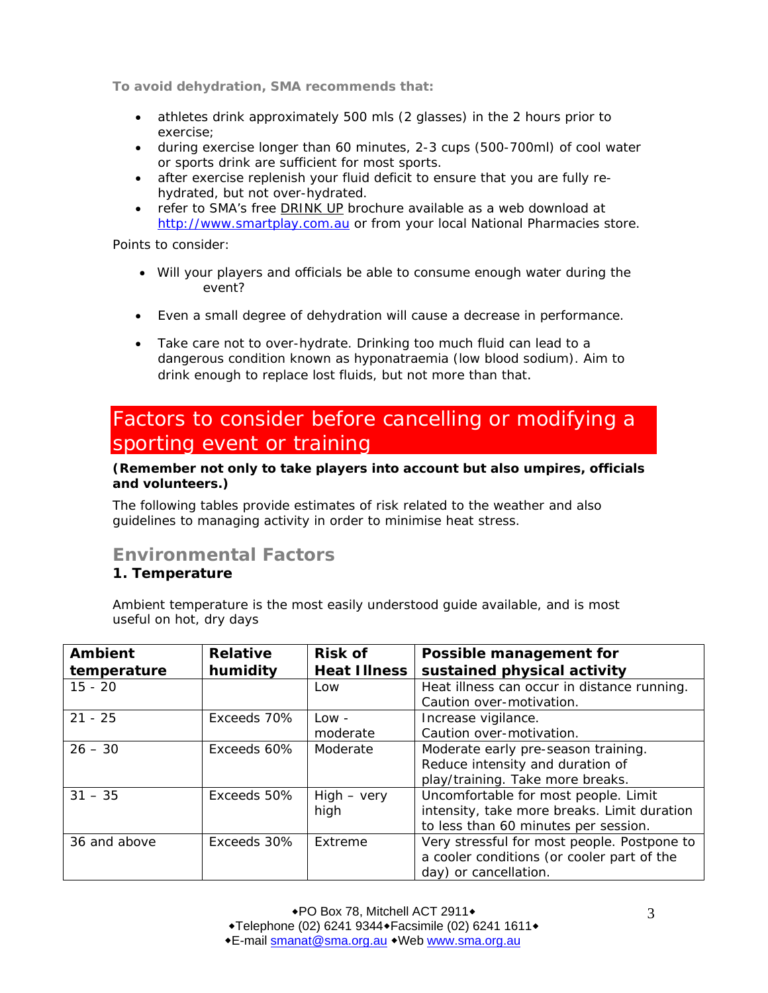**To avoid dehydration, SMA recommends that:** 

- athletes drink approximately 500 mls (2 glasses) in the 2 hours prior to exercise;
- during exercise longer than 60 minutes, 2-3 cups (500-700ml) of cool water or sports drink are sufficient for most sports.
- after exercise replenish your fluid deficit to ensure that you are fully rehydrated, but not over-hydrated.
- refer to SMA's free DRINK UP brochure available as a web download at http://www.smartplay.com.au or from your local National Pharmacies store.

Points to consider:

- Will your players and officials be able to consume enough water during the event?
- Even a small degree of dehydration will cause a decrease in performance.
- Take care not to over-hydrate. Drinking too much fluid can lead to a dangerous condition known as hyponatraemia (low blood sodium). Aim to drink enough to replace lost fluids, but not more than that.

# Factors to consider before cancelling or modifying a sporting event or training

#### **(Remember not only to take players into account but also umpires, officials and volunteers.)**

The following tables provide estimates of risk related to the weather and also guidelines to managing activity in order to minimise heat stress.

## **Environmental Factors**

#### **1. Temperature**

Ambient temperature is the most easily understood guide available, and is most useful on hot, dry days

| Ambient      | <b>Relative</b> | <b>Risk of</b>      | Possible management for                     |
|--------------|-----------------|---------------------|---------------------------------------------|
| temperature  | humidity        | <b>Heat Illness</b> | sustained physical activity                 |
| $15 - 20$    |                 | Low                 | Heat illness can occur in distance running. |
|              |                 |                     | Caution over-motivation.                    |
| $21 - 25$    | Exceeds 70%     | $Low -$             | Increase vigilance.                         |
|              |                 | moderate            | Caution over-motivation.                    |
| $26 - 30$    | Exceeds 60%     | Moderate            | Moderate early pre-season training.         |
|              |                 |                     | Reduce intensity and duration of            |
|              |                 |                     | play/training. Take more breaks.            |
| $31 - 35$    | Exceeds 50%     | $High - very$       | Uncomfortable for most people. Limit        |
|              |                 | high                | intensity, take more breaks. Limit duration |
|              |                 |                     | to less than 60 minutes per session.        |
| 36 and above | Exceeds 30%     | Extreme             | Very stressful for most people. Postpone to |
|              |                 |                     | a cooler conditions (or cooler part of the  |
|              |                 |                     | day) or cancellation.                       |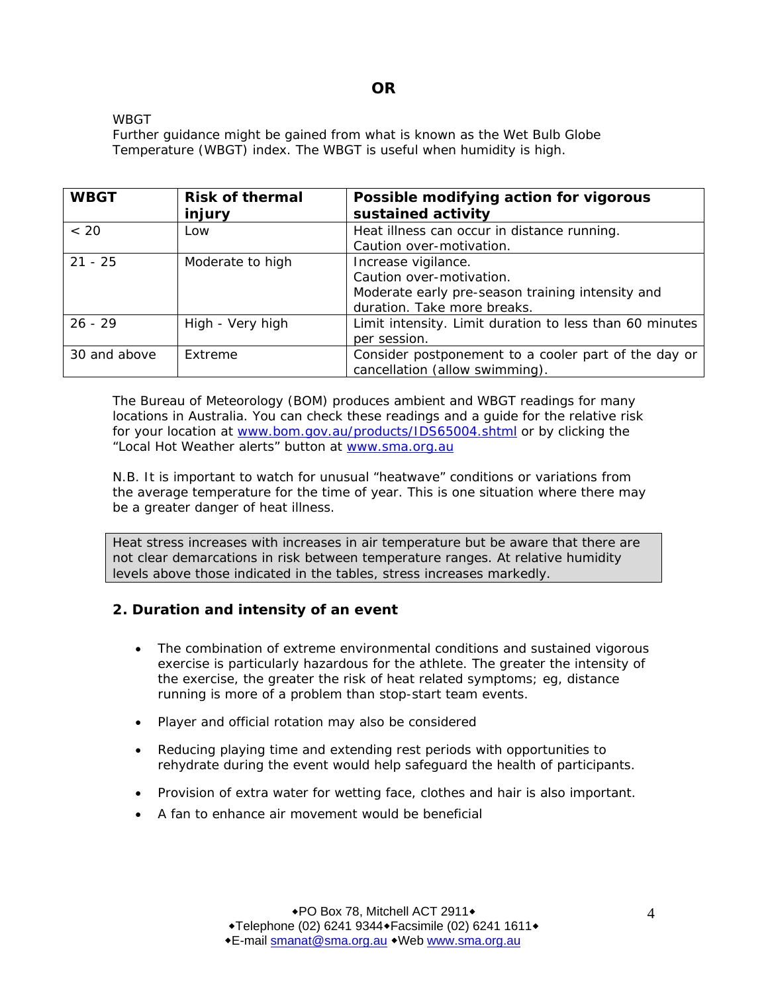#### **OR**

#### WBGT

Further guidance might be gained from what is known as the Wet Bulb Globe Temperature (WBGT) index. The WBGT is useful when humidity is high.

| <b>WBGT</b>  | <b>Risk of thermal</b> | Possible modifying action for vigorous                  |
|--------------|------------------------|---------------------------------------------------------|
|              | injury                 | sustained activity                                      |
| ~< 20        | Low                    | Heat illness can occur in distance running.             |
|              |                        | Caution over-motivation.                                |
| $21 - 25$    | Moderate to high       | Increase vigilance.                                     |
|              |                        | Caution over-motivation.                                |
|              |                        | Moderate early pre-season training intensity and        |
|              |                        | duration. Take more breaks.                             |
| $26 - 29$    | High - Very high       | Limit intensity. Limit duration to less than 60 minutes |
|              |                        | per session.                                            |
| 30 and above | Extreme                | Consider postponement to a cooler part of the day or    |
|              |                        | cancellation (allow swimming).                          |

The Bureau of Meteorology (BOM) produces ambient and WBGT readings for many locations in Australia. You can check these readings and a guide for the relative risk for your location at www.bom.gov.au/products/IDS65004.shtml or by clicking the "Local Hot Weather alerts" button at www.sma.org.au

N.B. It is important to watch for unusual "heatwave" conditions or variations from the average temperature for the time of year. This is one situation where there may be a greater danger of heat illness.

Heat stress increases with increases in air temperature but be aware that there are not clear demarcations in risk between temperature ranges. At relative humidity levels above those indicated in the tables, stress increases markedly.

#### **2. Duration and intensity of an event**

- The combination of extreme environmental conditions and sustained vigorous exercise is particularly hazardous for the athlete. The greater the intensity of the exercise, the greater the risk of heat related symptoms; eg, distance running is more of a problem than stop-start team events.
- Player and official rotation may also be considered
- Reducing playing time and extending rest periods with opportunities to rehydrate during the event would help safeguard the health of participants.
- Provision of extra water for wetting face, clothes and hair is also important.
- A fan to enhance air movement would be beneficial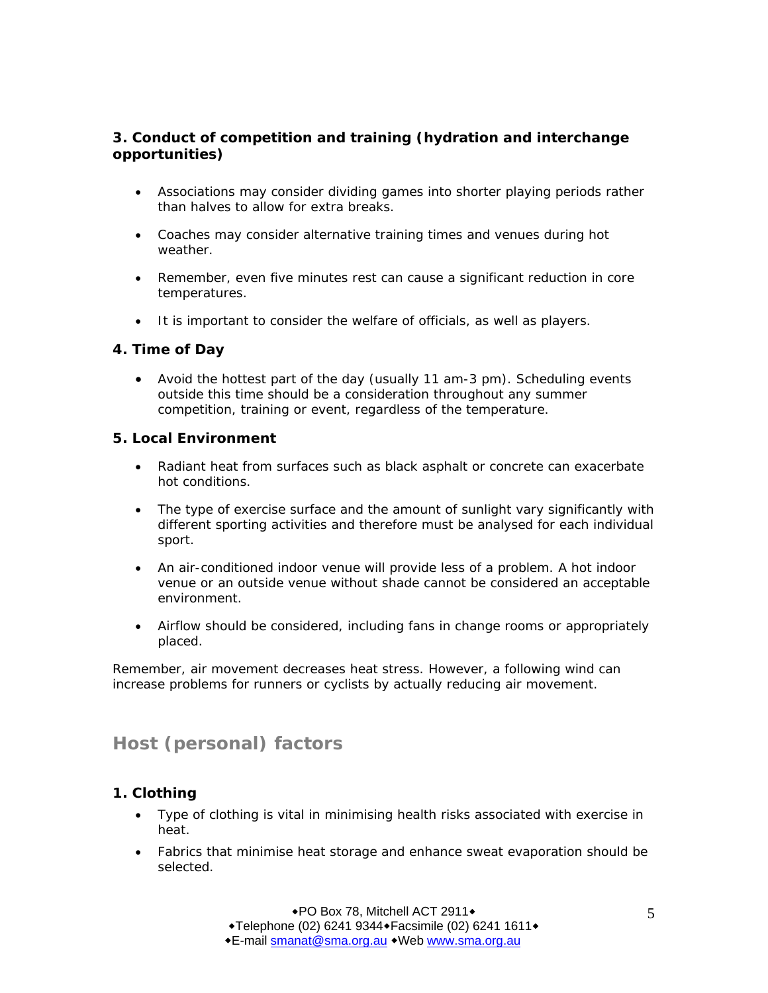#### **3. Conduct of competition and training (hydration and interchange opportunities)**

- Associations may consider dividing games into shorter playing periods rather than halves to allow for extra breaks.
- Coaches may consider alternative training times and venues during hot weather.
- Remember, even five minutes rest can cause a significant reduction in core temperatures.
- It is important to consider the welfare of officials, as well as players.

#### **4. Time of Day**

• Avoid the hottest part of the day (usually 11 am-3 pm). Scheduling events outside this time should be a consideration throughout any summer competition, training or event, regardless of the temperature.

#### **5. Local Environment**

- Radiant heat from surfaces such as black asphalt or concrete can exacerbate hot conditions.
- The type of exercise surface and the amount of sunlight vary significantly with different sporting activities and therefore must be analysed for each individual sport.
- An air-conditioned indoor venue will provide less of a problem. A hot indoor venue or an outside venue without shade cannot be considered an acceptable environment.
- Airflow should be considered, including fans in change rooms or appropriately placed.

Remember, air movement decreases heat stress. However, a following wind can increase problems for runners or cyclists by actually reducing air movement.

## **Host (personal) factors**

#### **1. Clothing**

- Type of clothing is vital in minimising health risks associated with exercise in heat.
- Fabrics that minimise heat storage and enhance sweat evaporation should be selected.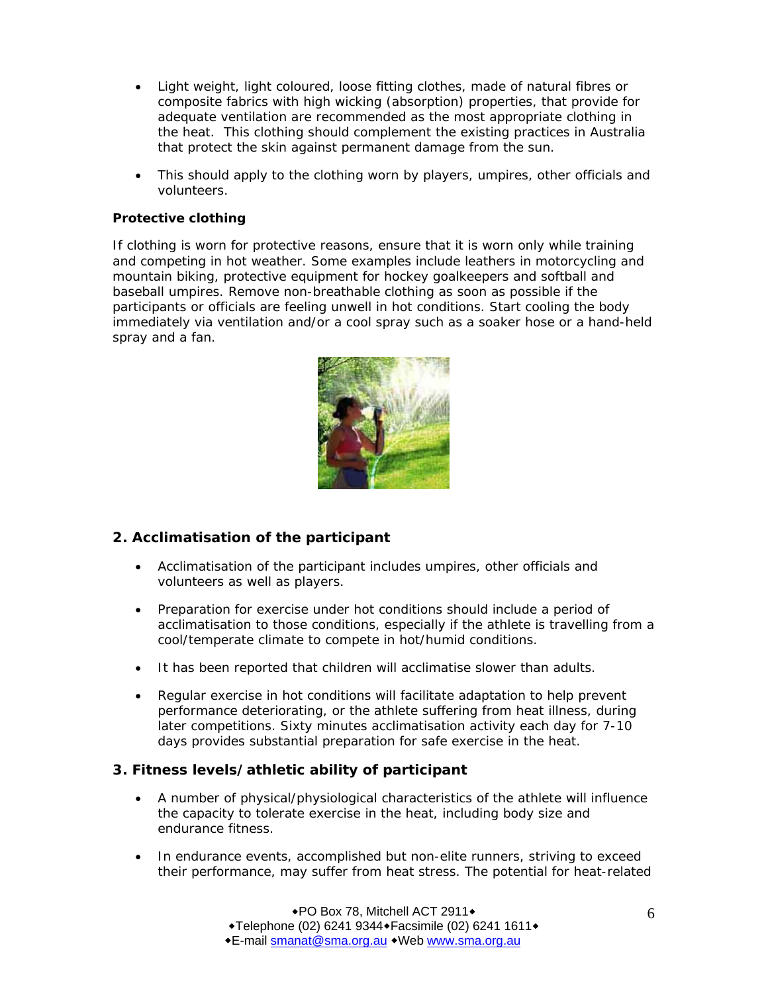- Light weight, light coloured, loose fitting clothes, made of natural fibres or composite fabrics with high wicking (absorption) properties, that provide for adequate ventilation are recommended as the most appropriate clothing in the heat. This clothing should complement the existing practices in Australia that protect the skin against permanent damage from the sun.
- This should apply to the clothing worn by players, umpires, other officials and volunteers.

#### **Protective clothing**

If clothing is worn for protective reasons, ensure that it is worn only while training and competing in hot weather. Some examples include leathers in motorcycling and mountain biking, protective equipment for hockey goalkeepers and softball and baseball umpires. Remove non-breathable clothing as soon as possible if the participants or officials are feeling unwell in hot conditions. Start cooling the body immediately via ventilation and/or a cool spray such as a soaker hose or a hand-held spray and a fan.



#### **2. Acclimatisation of the participant**

- Acclimatisation of the participant includes umpires, other officials and volunteers as well as players.
- Preparation for exercise under hot conditions should include a period of acclimatisation to those conditions, especially if the athlete is travelling from a cool/temperate climate to compete in hot/humid conditions.
- It has been reported that children will acclimatise slower than adults.
- Regular exercise in hot conditions will facilitate adaptation to help prevent performance deteriorating, or the athlete suffering from heat illness, during later competitions. Sixty minutes acclimatisation activity each day for 7-10 days provides substantial preparation for safe exercise in the heat.

#### **3. Fitness levels/athletic ability of participant**

- A number of physical/physiological characteristics of the athlete will influence the capacity to tolerate exercise in the heat, including body size and endurance fitness.
- In endurance events, accomplished but non-elite runners, striving to exceed their performance, may suffer from heat stress. The potential for heat-related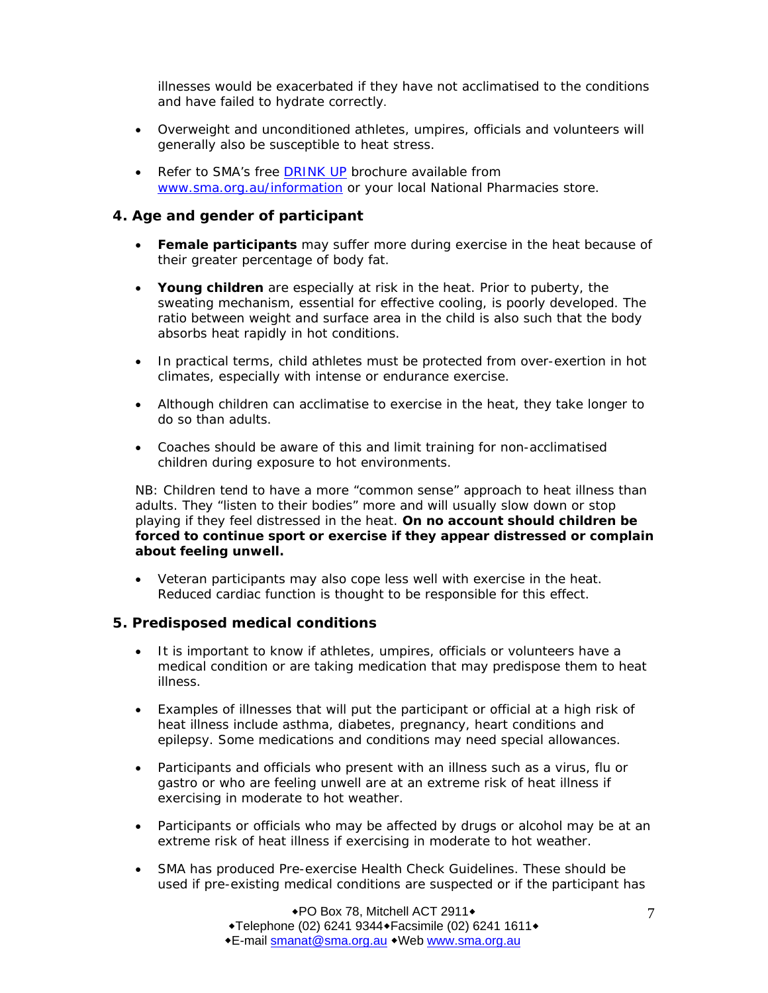illnesses would be exacerbated if they have not acclimatised to the conditions and have failed to hydrate correctly.

- Overweight and unconditioned athletes, umpires, officials and volunteers will generally also be susceptible to heat stress.
- Refer to SMA's free DRINK UP brochure available from www.sma.org.au/information or your local National Pharmacies store.

#### **4. Age and gender of participant**

- **Female participants** may suffer more during exercise in the heat because of their greater percentage of body fat.
- **Young children** are especially at risk in the heat. Prior to puberty, the sweating mechanism, essential for effective cooling, is poorly developed. The ratio between weight and surface area in the child is also such that the body absorbs heat rapidly in hot conditions.
- In practical terms, child athletes must be protected from over-exertion in hot climates, especially with intense or endurance exercise.
- Although children can acclimatise to exercise in the heat, they take longer to do so than adults.
- Coaches should be aware of this and limit training for non-acclimatised children during exposure to hot environments.

NB: Children tend to have a more "common sense" approach to heat illness than adults. They "listen to their bodies" more and will usually slow down or stop playing if they feel distressed in the heat. *On no account should children be forced to continue sport or exercise if they appear distressed or complain about feeling unwell.* 

• Veteran participants may also cope less well with exercise in the heat. Reduced cardiac function is thought to be responsible for this effect.

#### **5. Predisposed medical conditions**

- It is important to know if athletes, umpires, officials or volunteers have a medical condition or are taking medication that may predispose them to heat illness.
- Examples of illnesses that will put the participant or official at a high risk of heat illness include asthma, diabetes, pregnancy, heart conditions and epilepsy. Some medications and conditions may need special allowances.
- Participants and officials who present with an illness such as a virus, flu or gastro or who are feeling unwell are at an extreme risk of heat illness if exercising in moderate to hot weather.
- Participants or officials who may be affected by drugs or alcohol may be at an extreme risk of heat illness if exercising in moderate to hot weather.
- SMA has produced Pre-exercise Health Check Guidelines. These should be used if pre-existing medical conditions are suspected or if the participant has

◆PO Box 78, Mitchell ACT 2911◆  $\blacktriangleright$ Telephone (02) 6241 9344 $\blacktriangleright$ Facsimile (02) 6241 1611 $\blacktriangleright$ E-mail smanat@sma.org.au Web www.sma.org.au